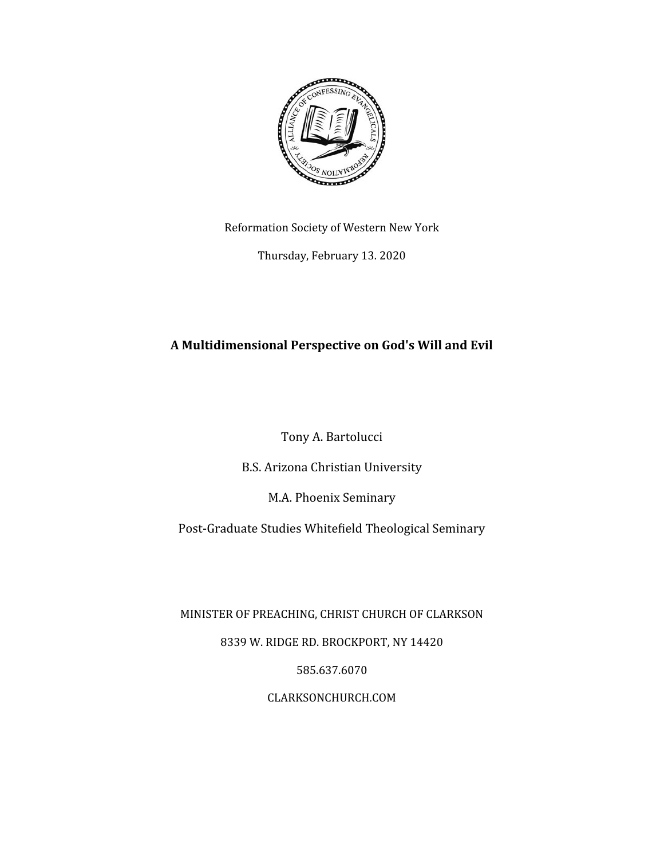

Reformation Society of Western New York

Thursday, February 13. 2020

# **A Multidimensional Perspective on God's Will and Evil**

Tony A. Bartolucci

B.S. Arizona Christian University

M.A. Phoenix Seminary

Post-Graduate Studies Whitefield Theological Seminary

MINISTER OF PREACHING, CHRIST CHURCH OF CLARKSON

8339 W. RIDGE RD. BROCKPORT, NY 14420

585.637.6070

CLARKSONCHURCH.COM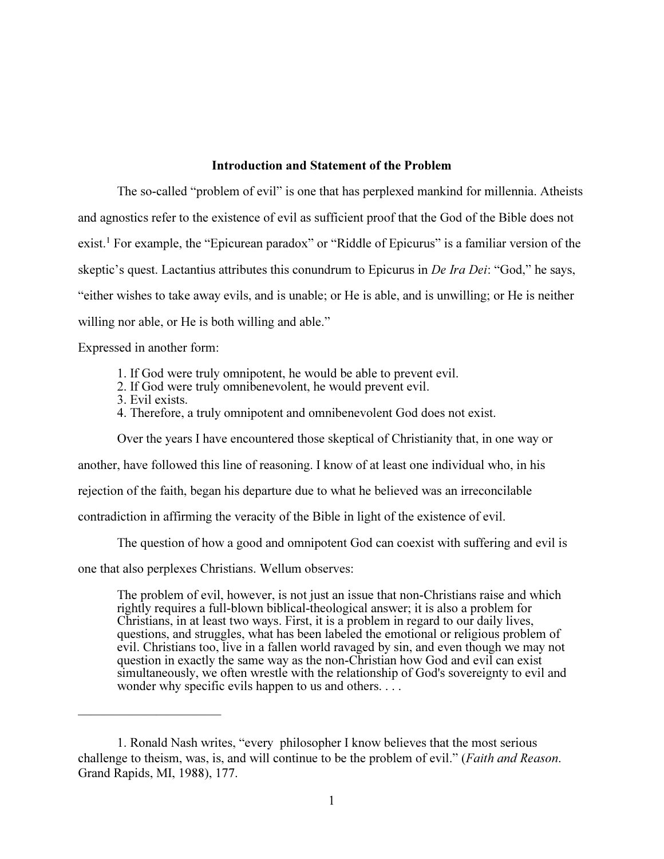### Introduction and Statement of the Problem

The so-called "problem of evil" is one that has perplexed mankind for millennia. Atheists and agnostics refer to the existence of evil as sufficient proof that the God of the Bible does not exist.<sup>1</sup> For example, the "Epicurean paradox" or "Riddle of Epicurus" is a familiar version of the skeptic's quest. Lactantius attributes this conundrum to Epicurus in *De Ira Dei*: "God," he says, "either wishes to take away evils, and is unable; or He is able, and is unwilling; or He is neither willing nor able, or He is both willing and able."

Expressed in another form:

- 1. If God were truly omnipotent, he would be able to prevent evil.
- 2. If God were truly omnibenevolent, he would prevent evil.
- 3. Evil exists.

———————————

4. Therefore, a truly omnipotent and omnibenevolent God does not exist.

Over the years I have encountered those skeptical of Christianity that, in one way or

another, have followed this line of reasoning. I know of at least one individual who, in his

rejection of the faith, began his departure due to what he believed was an irreconcilable

contradiction in affirming the veracity of the Bible in light of the existence of evil.

The question of how a good and omnipotent God can coexist with suffering and evil is

one that also perplexes Christians. Wellum observes:

The problem of evil, however, is not just an issue that non-Christians raise and which rightly requires a full-blown biblical-theological answer; it is also a problem for Christians, in at least two ways. First, it is a problem in regard to our daily lives, questions, and struggles, what has been labeled the emotional or religious problem of evil. Christians too, live in a fallen world ravaged by sin, and even though we may not question in exactly the same way as the non-Christian how God and evil can exist simultaneously, we often wrestle with the relationship of God's sovereignty to evil and wonder why specific evils happen to us and others.  $\ldots$ 

<sup>1.</sup> Ronald Nash writes, "every philosopher I know believes that the most serious challenge to theism, was, is, and will continue to be the problem of evil." (Faith and Reason. Grand Rapids, MI, 1988), 177.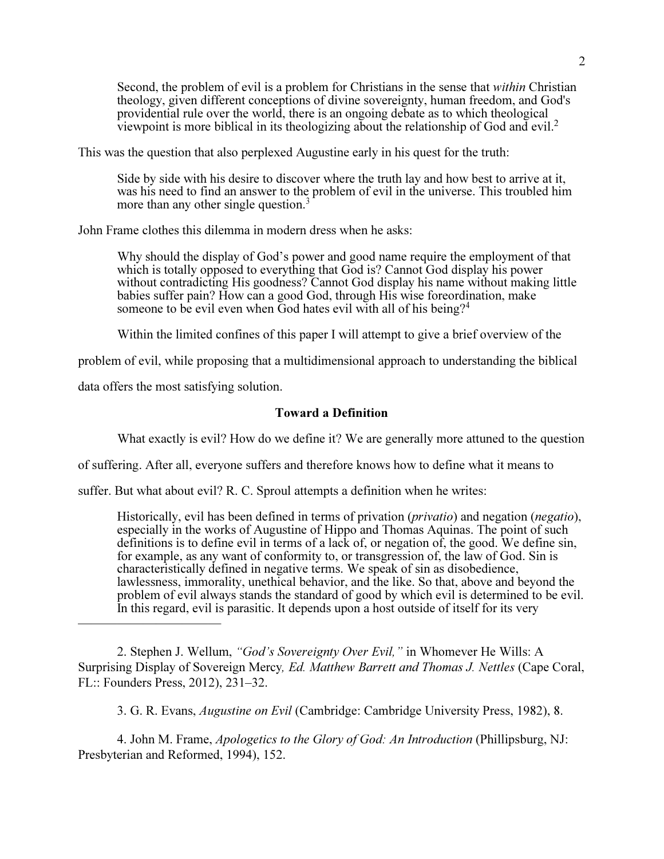Second, the problem of evil is a problem for Christians in the sense that within Christian theology, given different conceptions of divine sovereignty, human freedom, and God's providential rule over the world, there is an ongoing debate as to which theological viewpoint is more biblical in its theologizing about the relationship of God and evil.<sup>2</sup>

This was the question that also perplexed Augustine early in his quest for the truth:

Side by side with his desire to discover where the truth lay and how best to arrive at it, was his need to find an answer to the problem of evil in the universe. This troubled him more than any other single question.<sup>3</sup>

John Frame clothes this dilemma in modern dress when he asks:

Why should the display of God's power and good name require the employment of that which is totally opposed to everything that God is? Cannot God display his power without contradicting His goodness? Cannot God display his name without making little babies suffer pain? How can a good God, through His wise foreordination, make someone to be evil even when God hates evil with all of his being?<sup>4</sup>

Within the limited confines of this paper I will attempt to give a brief overview of the

problem of evil, while proposing that a multidimensional approach to understanding the biblical

data offers the most satisfying solution.

———————————

### Toward a Definition

What exactly is evil? How do we define it? We are generally more attuned to the question

of suffering. After all, everyone suffers and therefore knows how to define what it means to

suffer. But what about evil? R. C. Sproul attempts a definition when he writes:

Historically, evil has been defined in terms of privation (*privatio*) and negation (*negatio*), especially in the works of Augustine of Hippo and Thomas Aquinas. The point of such definitions is to define evil in terms of a lack of, or negation of, the good. We define sin, for example, as any want of conformity to, or transgression of, the law of God. Sin is characteristically defined in negative terms. We speak of sin as disobedience, lawlessness, immorality, unethical behavior, and the like. So that, above and beyond the problem of evil always stands the standard of good by which evil is determined to be evil. In this regard, evil is parasitic. It depends upon a host outside of itself for its very

2. Stephen J. Wellum, "God's Sovereignty Over Evil," in Whomever He Wills: A Surprising Display of Sovereign Mercy, Ed. Matthew Barrett and Thomas J. Nettles (Cape Coral, FL:: Founders Press, 2012), 231–32.

3. G. R. Evans, Augustine on Evil (Cambridge: Cambridge University Press, 1982), 8.

4. John M. Frame, *Apologetics to the Glory of God: An Introduction* (Phillipsburg, NJ: Presbyterian and Reformed, 1994), 152.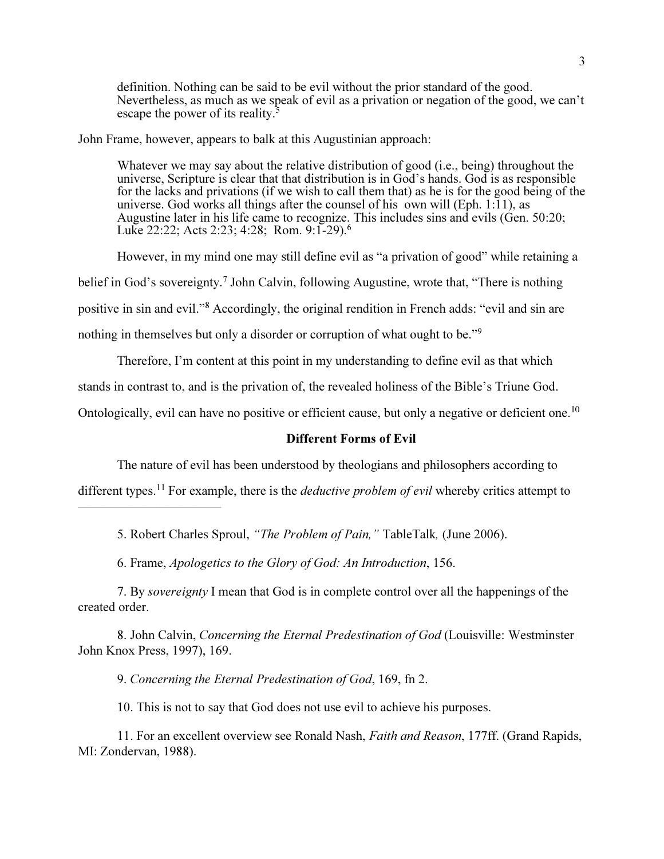definition. Nothing can be said to be evil without the prior standard of the good. Nevertheless, as much as we speak of evil as a privation or negation of the good, we can't escape the power of its reality.<sup>5</sup>

John Frame, however, appears to balk at this Augustinian approach:

Whatever we may say about the relative distribution of good (i.e., being) throughout the universe, Scripture is clear that that distribution is in God's hands. God is as responsible for the lacks and privations (if we wish to call them that) as he is for the good being of the universe. God works all things after the counsel of his own will (Eph. 1:11), as Augustine later in his life came to recognize. This includes sins and evils (Gen. 50:20; Luke 22:22; Acts 2:23; 4:28; Rom. 9:1-29).<sup>6</sup>

 However, in my mind one may still define evil as "a privation of good" while retaining a belief in God's sovereignty.<sup>7</sup> John Calvin, following Augustine, wrote that, "There is nothing positive in sin and evil."<sup>8</sup> Accordingly, the original rendition in French adds: "evil and sin are nothing in themselves but only a disorder or corruption of what ought to be."<sup>9</sup>

Therefore, I'm content at this point in my understanding to define evil as that which

stands in contrast to, and is the privation of, the revealed holiness of the Bible's Triune God.

Ontologically, evil can have no positive or efficient cause, but only a negative or deficient one.<sup>10</sup>

#### Different Forms of Evil

The nature of evil has been understood by theologians and philosophers according to

different types.<sup>11</sup> For example, there is the *deductive problem of evil* whereby critics attempt to

5. Robert Charles Sproul, "The Problem of Pain," TableTalk, (June 2006).

6. Frame, Apologetics to the Glory of God: An Introduction, 156.

———————————

7. By sovereignty I mean that God is in complete control over all the happenings of the created order.

8. John Calvin, Concerning the Eternal Predestination of God (Louisville: Westminster John Knox Press, 1997), 169.

9. Concerning the Eternal Predestination of God, 169, fn 2.

10. This is not to say that God does not use evil to achieve his purposes.

11. For an excellent overview see Ronald Nash, Faith and Reason, 177ff. (Grand Rapids, MI: Zondervan, 1988).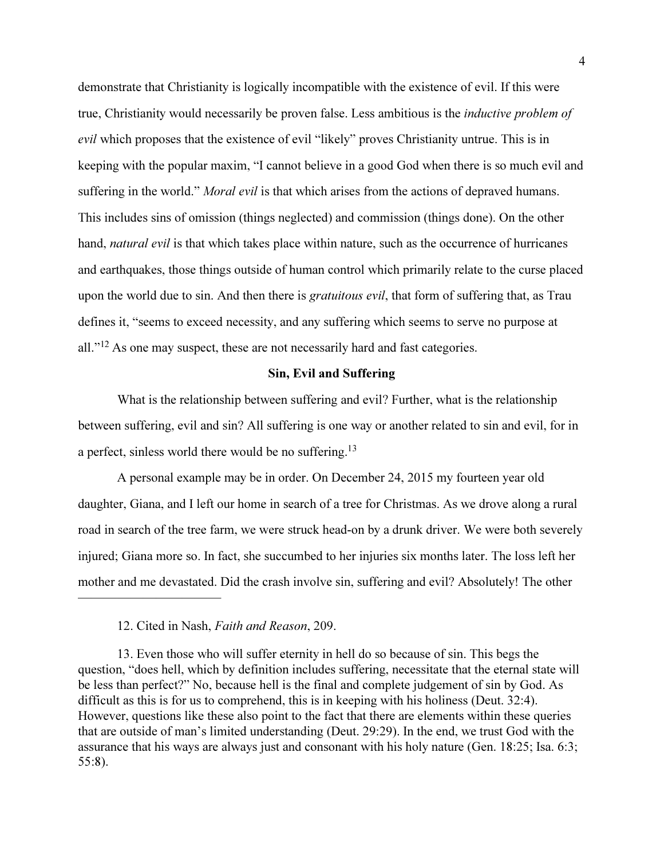demonstrate that Christianity is logically incompatible with the existence of evil. If this were true, Christianity would necessarily be proven false. Less ambitious is the inductive problem of evil which proposes that the existence of evil "likely" proves Christianity untrue. This is in keeping with the popular maxim, "I cannot believe in a good God when there is so much evil and suffering in the world." *Moral evil* is that which arises from the actions of depraved humans. This includes sins of omission (things neglected) and commission (things done). On the other hand, *natural evil* is that which takes place within nature, such as the occurrence of hurricanes and earthquakes, those things outside of human control which primarily relate to the curse placed upon the world due to sin. And then there is *gratuitous evil*, that form of suffering that, as Trau defines it, "seems to exceed necessity, and any suffering which seems to serve no purpose at all."<sup>12</sup> As one may suspect, these are not necessarily hard and fast categories.

### Sin, Evil and Suffering

 What is the relationship between suffering and evil? Further, what is the relationship between suffering, evil and sin? All suffering is one way or another related to sin and evil, for in a perfect, sinless world there would be no suffering.<sup>13</sup>

 A personal example may be in order. On December 24, 2015 my fourteen year old daughter, Giana, and I left our home in search of a tree for Christmas. As we drove along a rural road in search of the tree farm, we were struck head-on by a drunk driver. We were both severely injured; Giana more so. In fact, she succumbed to her injuries six months later. The loss left her mother and me devastated. Did the crash involve sin, suffering and evil? Absolutely! The other

12. Cited in Nash, Faith and Reason, 209.

———————————

13. Even those who will suffer eternity in hell do so because of sin. This begs the question, "does hell, which by definition includes suffering, necessitate that the eternal state will be less than perfect?" No, because hell is the final and complete judgement of sin by God. As difficult as this is for us to comprehend, this is in keeping with his holiness (Deut. 32:4). However, questions like these also point to the fact that there are elements within these queries that are outside of man's limited understanding (Deut. 29:29). In the end, we trust God with the assurance that his ways are always just and consonant with his holy nature (Gen. 18:25; Isa. 6:3; 55:8).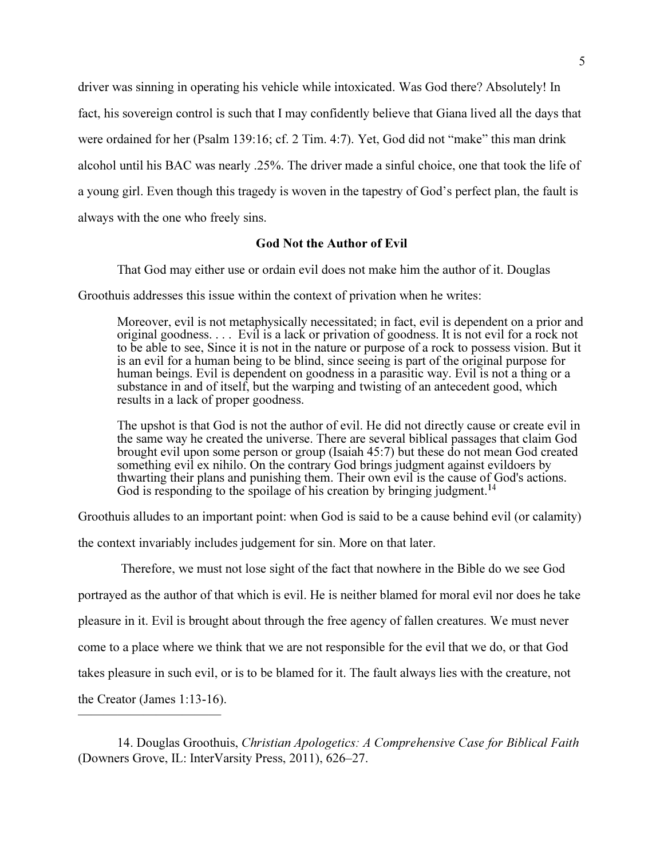driver was sinning in operating his vehicle while intoxicated. Was God there? Absolutely! In fact, his sovereign control is such that I may confidently believe that Giana lived all the days that were ordained for her (Psalm 139:16; cf. 2 Tim. 4:7). Yet, God did not "make" this man drink alcohol until his BAC was nearly .25%. The driver made a sinful choice, one that took the life of a young girl. Even though this tragedy is woven in the tapestry of God's perfect plan, the fault is always with the one who freely sins.

## God Not the Author of Evil

That God may either use or ordain evil does not make him the author of it. Douglas

Groothuis addresses this issue within the context of privation when he writes:

Moreover, evil is not metaphysically necessitated; in fact, evil is dependent on a prior and original goodness. . . . Evil is a lack or privation of goodness. It is not evil for a rock not to be able to see, Since it is not in the nature or purpose of a rock to possess vision. But it is an evil for a human being to be blind, since seeing is part of the original purpose for human beings. Evil is dependent on goodness in a parasitic way. Evil is not a thing or a substance in and of itself, but the warping and twisting of an antecedent good, which results in a lack of proper goodness.

The upshot is that God is not the author of evil. He did not directly cause or create evil in the same way he created the universe. There are several biblical passages that claim God brought evil upon some person or group (Isaiah 45:7) but these do not mean God created something evil ex nihilo. On the contrary God brings judgment against evildoers by thwarting their plans and punishing them. Their own evil is the cause of God's actions. God is responding to the spoilage of his creation by bringing judgment.<sup>14</sup>

Groothuis alludes to an important point: when God is said to be a cause behind evil (or calamity)

the context invariably includes judgement for sin. More on that later.

———————————

 Therefore, we must not lose sight of the fact that nowhere in the Bible do we see God portrayed as the author of that which is evil. He is neither blamed for moral evil nor does he take pleasure in it. Evil is brought about through the free agency of fallen creatures. We must never come to a place where we think that we are not responsible for the evil that we do, or that God takes pleasure in such evil, or is to be blamed for it. The fault always lies with the creature, not the Creator (James 1:13-16).

<sup>14.</sup> Douglas Groothuis, Christian Apologetics: A Comprehensive Case for Biblical Faith (Downers Grove, IL: InterVarsity Press, 2011), 626–27.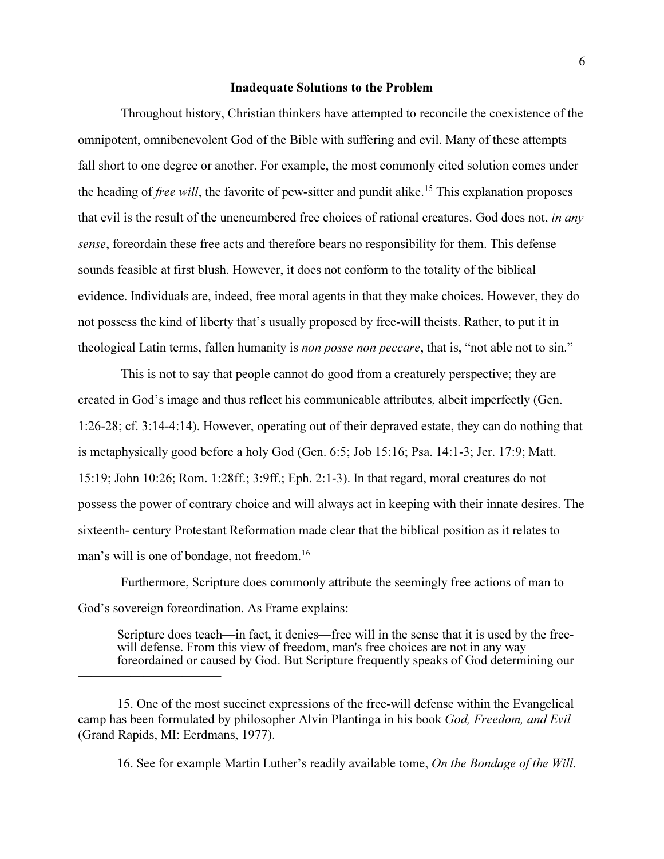#### Inadequate Solutions to the Problem

 Throughout history, Christian thinkers have attempted to reconcile the coexistence of the omnipotent, omnibenevolent God of the Bible with suffering and evil. Many of these attempts fall short to one degree or another. For example, the most commonly cited solution comes under the heading of *free will*, the favorite of pew-sitter and pundit alike.<sup>15</sup> This explanation proposes that evil is the result of the unencumbered free choices of rational creatures. God does not, in any sense, foreordain these free acts and therefore bears no responsibility for them. This defense sounds feasible at first blush. However, it does not conform to the totality of the biblical evidence. Individuals are, indeed, free moral agents in that they make choices. However, they do not possess the kind of liberty that's usually proposed by free-will theists. Rather, to put it in theological Latin terms, fallen humanity is non posse non peccare, that is, "not able not to sin."

 This is not to say that people cannot do good from a creaturely perspective; they are created in God's image and thus reflect his communicable attributes, albeit imperfectly (Gen. 1:26-28; cf. 3:14-4:14). However, operating out of their depraved estate, they can do nothing that is metaphysically good before a holy God (Gen. 6:5; Job 15:16; Psa. 14:1-3; Jer. 17:9; Matt. 15:19; John 10:26; Rom. 1:28ff.; 3:9ff.; Eph. 2:1-3). In that regard, moral creatures do not possess the power of contrary choice and will always act in keeping with their innate desires. The sixteenth- century Protestant Reformation made clear that the biblical position as it relates to man's will is one of bondage, not freedom.<sup>16</sup>

 Furthermore, Scripture does commonly attribute the seemingly free actions of man to God's sovereign foreordination. As Frame explains:

Scripture does teach—in fact, it denies—free will in the sense that it is used by the freewill defense. From this view of freedom, man's free choices are not in any way foreordained or caused by God. But Scripture frequently speaks of God determining our

———————————

<sup>15.</sup> One of the most succinct expressions of the free-will defense within the Evangelical camp has been formulated by philosopher Alvin Plantinga in his book God, Freedom, and Evil (Grand Rapids, MI: Eerdmans, 1977).

<sup>16.</sup> See for example Martin Luther's readily available tome, On the Bondage of the Will.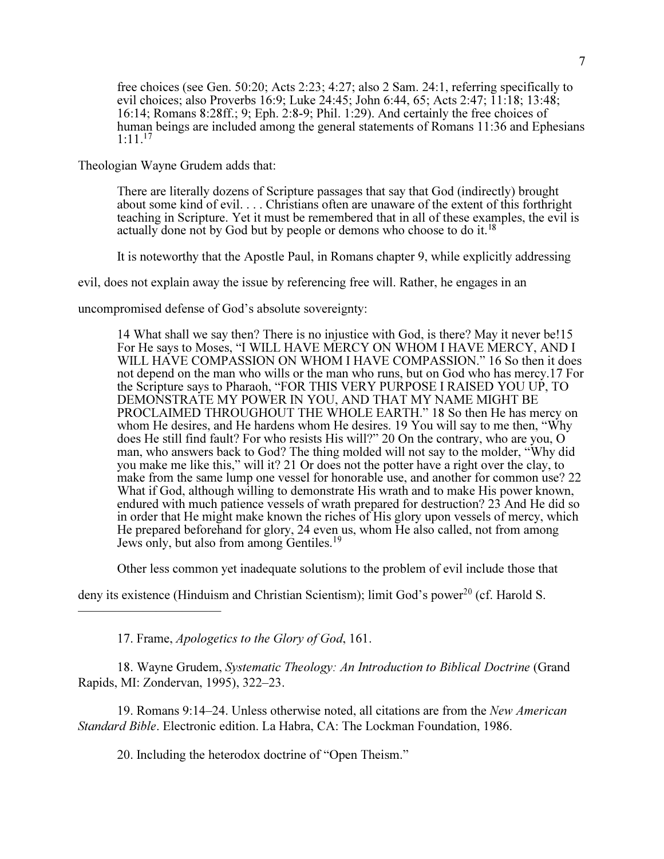free choices (see Gen. 50:20; Acts 2:23; 4:27; also 2 Sam. 24:1, referring specifically to evil choices; also Proverbs 16:9; Luke 24:45; John 6:44, 65; Acts 2:47; 11:18; 13:48; 16:14; Romans 8:28ff.; 9; Eph. 2:8-9; Phil. 1:29). And certainly the free choices of human beings are included among the general statements of Romans 11:36 and Ephesians  $1:11^{17}$ 

Theologian Wayne Grudem adds that:

There are literally dozens of Scripture passages that say that God (indirectly) brought about some kind of evil. . . . Christians often are unaware of the extent of this forthright teaching in Scripture. Yet it must be remembered that in all of these examples, the evil is actually done not by God but by people or demons who choose to do it.<sup>18</sup>

It is noteworthy that the Apostle Paul, in Romans chapter 9, while explicitly addressing

evil, does not explain away the issue by referencing free will. Rather, he engages in an

uncompromised defense of God's absolute sovereignty:

14 What shall we say then? There is no injustice with God, is there? May it never be!15 For He says to Moses, "I WILL HAVE MERCY ON WHOM I HAVE MERCY, AND I WILL HAVE COMPASSION ON WHOM I HAVE COMPASSION." 16 So then it does not depend on the man who wills or the man who runs, but on God who has mercy.17 For the Scripture says to Pharaoh, "FOR THIS VERY PURPOSE I RAISED YOU UP, TO DEMONSTRATE MY POWER IN YOU, AND THAT MY NAME MIGHT BE PROCLAIMED THROUGHOUT THE WHOLE EARTH." 18 So then He has mercy on whom He desires, and He hardens whom He desires. 19 You will say to me then, "Why does He still find fault? For who resists His will?" 20 On the contrary, who are you, O man, who answers back to God? The thing molded will not say to the molder, "Why did you make me like this," will it? 21 Or does not the potter have a right over the clay, to make from the same lump one vessel for honorable use, and another for common use? 22 What if God, although willing to demonstrate His wrath and to make His power known, endured with much patience vessels of wrath prepared for destruction? 23 And He did so in order that He might make known the riches of His glory upon vessels of mercy, which He prepared beforehand for glory, 24 even us, whom He also called, not from among Jews only, but also from among Gentiles.<sup>19</sup>

Other less common yet inadequate solutions to the problem of evil include those that

deny its existence (Hinduism and Christian Scientism); limit God's power<sup>20</sup> (cf. Harold S.

17. Frame, Apologetics to the Glory of God, 161.

———————————

18. Wayne Grudem, Systematic Theology: An Introduction to Biblical Doctrine (Grand Rapids, MI: Zondervan, 1995), 322–23.

19. Romans 9:14–24. Unless otherwise noted, all citations are from the New American Standard Bible. Electronic edition. La Habra, CA: The Lockman Foundation, 1986.

20. Including the heterodox doctrine of "Open Theism."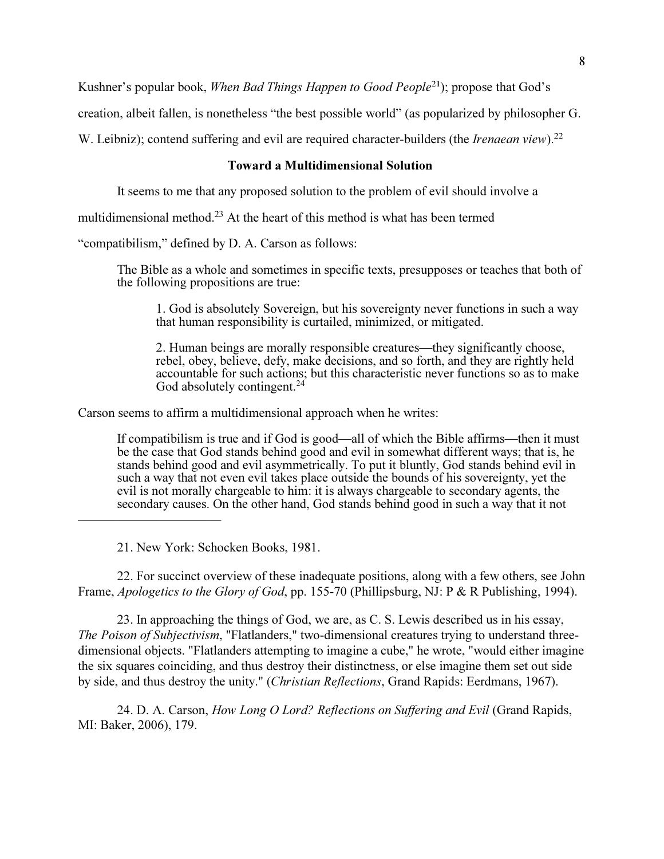Kushner's popular book, When Bad Things Happen to Good People<sup>21</sup>); propose that God's

creation, albeit fallen, is nonetheless "the best possible world" (as popularized by philosopher G.

W. Leibniz); contend suffering and evil are required character-builders (the *Irenaean view*).<sup>22</sup>

### Toward a Multidimensional Solution

It seems to me that any proposed solution to the problem of evil should involve a

multidimensional method.<sup>23</sup> At the heart of this method is what has been termed

"compatibilism," defined by D. A. Carson as follows:

The Bible as a whole and sometimes in specific texts, presupposes or teaches that both of the following propositions are true:

1. God is absolutely Sovereign, but his sovereignty never functions in such a way that human responsibility is curtailed, minimized, or mitigated.

2. Human beings are morally responsible creatures—they significantly choose, rebel, obey, believe, defy, make decisions, and so forth, and they are rightly held accountable for such actions; but this characteristic never functions so as to make God absolutely contingent.<sup>24</sup>

Carson seems to affirm a multidimensional approach when he writes:

If compatibilism is true and if God is good—all of which the Bible affirms—then it must be the case that God stands behind good and evil in somewhat different ways; that is, he stands behind good and evil asymmetrically. To put it bluntly, God stands behind evil in such a way that not even evil takes place outside the bounds of his sovereignty, yet the evil is not morally chargeable to him: it is always chargeable to secondary agents, the secondary causes. On the other hand, God stands behind good in such a way that it not

21. New York: Schocken Books, 1981.

———————————

22. For succinct overview of these inadequate positions, along with a few others, see John Frame, *Apologetics to the Glory of God*, pp. 155-70 (Phillipsburg, NJ: P & R Publishing, 1994).

23. In approaching the things of God, we are, as C. S. Lewis described us in his essay, The Poison of Subjectivism, "Flatlanders," two-dimensional creatures trying to understand threedimensional objects. "Flatlanders attempting to imagine a cube," he wrote, "would either imagine the six squares coinciding, and thus destroy their distinctness, or else imagine them set out side by side, and thus destroy the unity." (Christian Reflections, Grand Rapids: Eerdmans, 1967).

24. D. A. Carson, How Long O Lord? Reflections on Suffering and Evil (Grand Rapids, MI: Baker, 2006), 179.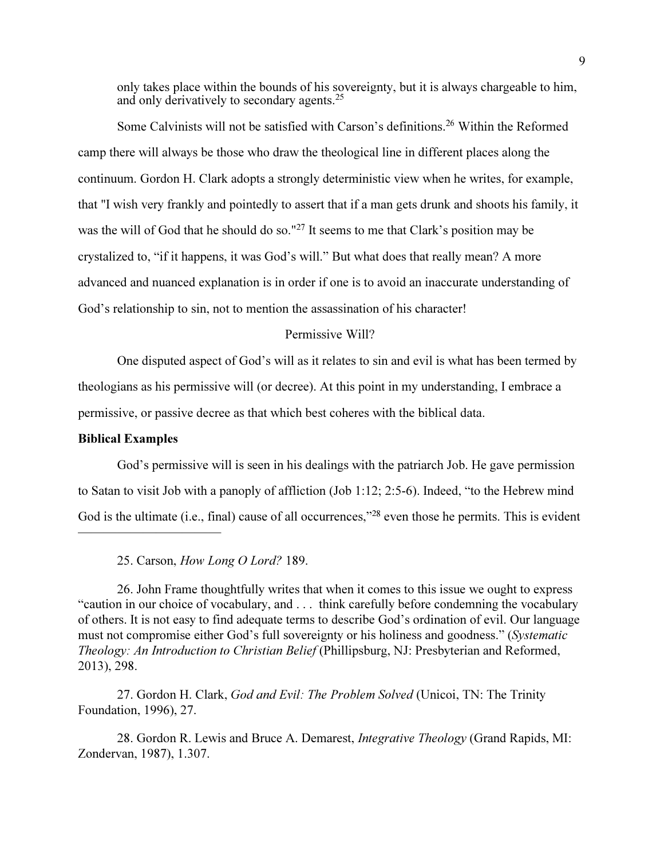only takes place within the bounds of his sovereignty, but it is always chargeable to him, and only derivatively to secondary agents.<sup>25</sup>

Some Calvinists will not be satisfied with Carson's definitions.<sup>26</sup> Within the Reformed camp there will always be those who draw the theological line in different places along the continuum. Gordon H. Clark adopts a strongly deterministic view when he writes, for example, that "I wish very frankly and pointedly to assert that if a man gets drunk and shoots his family, it was the will of God that he should do so."<sup>27</sup> It seems to me that Clark's position may be crystalized to, "if it happens, it was God's will." But what does that really mean? A more advanced and nuanced explanation is in order if one is to avoid an inaccurate understanding of God's relationship to sin, not to mention the assassination of his character!

# Permissive Will?

One disputed aspect of God's will as it relates to sin and evil is what has been termed by theologians as his permissive will (or decree). At this point in my understanding, I embrace a permissive, or passive decree as that which best coheres with the biblical data.

### Biblical Examples

———————————

God's permissive will is seen in his dealings with the patriarch Job. He gave permission to Satan to visit Job with a panoply of affliction (Job 1:12; 2:5-6). Indeed, "to the Hebrew mind God is the ultimate (i.e., final) cause of all occurrences,"<sup>28</sup> even those he permits. This is evident

25. Carson, How Long O Lord? 189.

26. John Frame thoughtfully writes that when it comes to this issue we ought to express "caution in our choice of vocabulary, and . . . think carefully before condemning the vocabulary of others. It is not easy to find adequate terms to describe God's ordination of evil. Our language must not compromise either God's full sovereignty or his holiness and goodness." (Systematic Theology: An Introduction to Christian Belief (Phillipsburg, NJ: Presbyterian and Reformed, 2013), 298.

27. Gordon H. Clark, God and Evil: The Problem Solved (Unicoi, TN: The Trinity Foundation, 1996), 27.

28. Gordon R. Lewis and Bruce A. Demarest, *Integrative Theology* (Grand Rapids, MI: Zondervan, 1987), 1.307.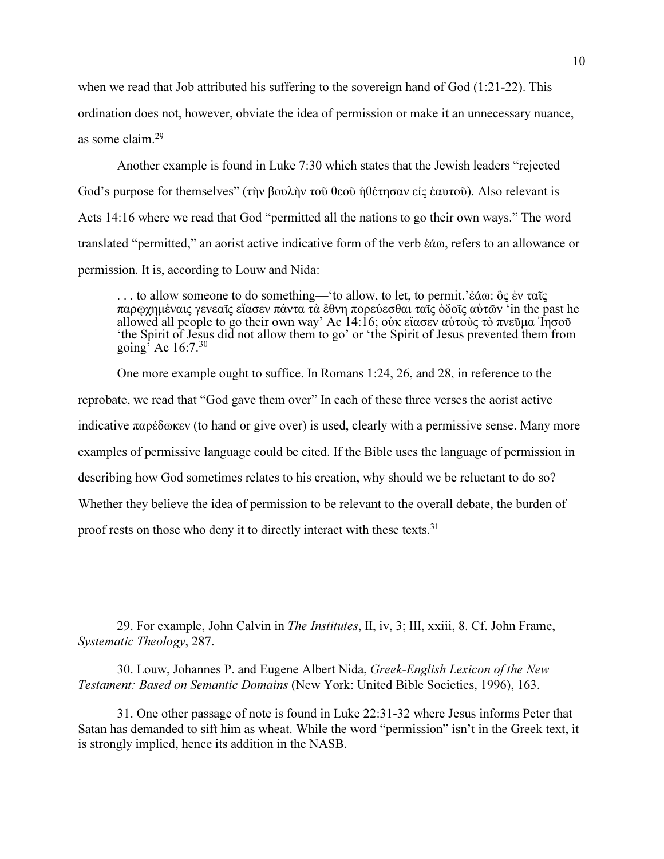when we read that Job attributed his suffering to the sovereign hand of God (1:21-22). This ordination does not, however, obviate the idea of permission or make it an unnecessary nuance, as some claim.<sup>29</sup>

Another example is found in Luke 7:30 which states that the Jewish leaders "rejected God's purpose for themselves" (την βουλην του θεου ήθετησαν εις εαυτουλ). Also relevant is Acts 14:16 where we read that God "permitted all the nations to go their own ways." The word translated "permitted," an aorist active indicative form of the verb έάω, refers to an allowance or permission. It is, according to Louw and Nida:

... to allow someone to do something—'to allow, to let, to permit.' $\&\omega$ :  $\&\zeta$   $\&\vee$  ταις παρωχημέναις γενεαῖς εἴασεν πάντα τὰ ἔθνη πορεύεσθαι τατς ὁδοῖς αὐτῶν 'in the past he allowed all people to go their own way' Ac 14:16; ούκ εἴασεν αὐτοὺς τὸ πνεῦμα Ι ησοῦ 'the Spirit of Jesus did not allow them to go' or 'the Spirit of Jesus prevented them from going<sup>5</sup> Ac  $16:7.^{30}$ 

 One more example ought to suffice. In Romans 1:24, 26, and 28, in reference to the reprobate, we read that "God gave them over" In each of these three verses the aorist active indicative  $\pi \alpha \rho \hat{\delta} \omega \kappa \epsilon v$  (to hand or give over) is used, clearly with a permissive sense. Many more examples of permissive language could be cited. If the Bible uses the language of permission in describing how God sometimes relates to his creation, why should we be reluctant to do so? Whether they believe the idea of permission to be relevant to the overall debate, the burden of proof rests on those who deny it to directly interact with these texts.<sup>31</sup>

———————————

<sup>29.</sup> For example, John Calvin in The Institutes, II, iv, 3; III, xxiii, 8. Cf. John Frame, Systematic Theology, 287.

<sup>30.</sup> Louw, Johannes P. and Eugene Albert Nida, Greek-English Lexicon of the New Testament: Based on Semantic Domains (New York: United Bible Societies, 1996), 163.

<sup>31.</sup> One other passage of note is found in Luke 22:31-32 where Jesus informs Peter that Satan has demanded to sift him as wheat. While the word "permission" isn't in the Greek text, it is strongly implied, hence its addition in the NASB.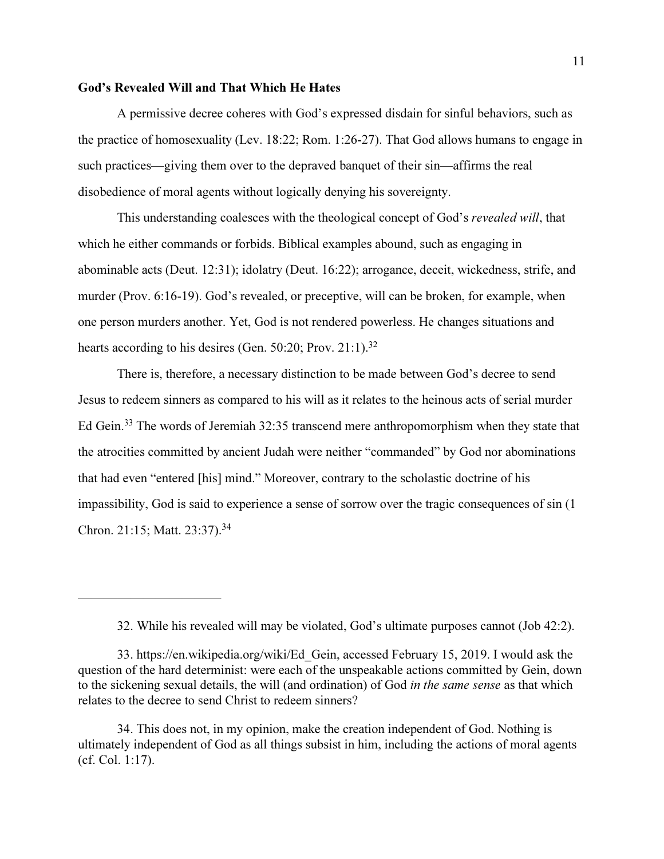#### God's Revealed Will and That Which He Hates

———————————

A permissive decree coheres with God's expressed disdain for sinful behaviors, such as the practice of homosexuality (Lev. 18:22; Rom. 1:26-27). That God allows humans to engage in such practices—giving them over to the depraved banquet of their sin—affirms the real disobedience of moral agents without logically denying his sovereignty.

This understanding coalesces with the theological concept of God's *revealed will*, that which he either commands or forbids. Biblical examples abound, such as engaging in abominable acts (Deut. 12:31); idolatry (Deut. 16:22); arrogance, deceit, wickedness, strife, and murder (Prov. 6:16-19). God's revealed, or preceptive, will can be broken, for example, when one person murders another. Yet, God is not rendered powerless. He changes situations and hearts according to his desires (Gen. 50:20; Prov. 21:1).<sup>32</sup>

There is, therefore, a necessary distinction to be made between God's decree to send Jesus to redeem sinners as compared to his will as it relates to the heinous acts of serial murder Ed Gein.<sup>33</sup> The words of Jeremiah 32:35 transcend mere anthropomorphism when they state that the atrocities committed by ancient Judah were neither "commanded" by God nor abominations that had even "entered [his] mind." Moreover, contrary to the scholastic doctrine of his impassibility, God is said to experience a sense of sorrow over the tragic consequences of sin (1 Chron. 21:15; Matt. 23:37).<sup>34</sup>

32. While his revealed will may be violated, God's ultimate purposes cannot (Job 42:2).

33. https://en.wikipedia.org/wiki/Ed\_Gein, accessed February 15, 2019. I would ask the question of the hard determinist: were each of the unspeakable actions committed by Gein, down to the sickening sexual details, the will (and ordination) of God in the same sense as that which relates to the decree to send Christ to redeem sinners?

34. This does not, in my opinion, make the creation independent of God. Nothing is ultimately independent of God as all things subsist in him, including the actions of moral agents (cf. Col. 1:17).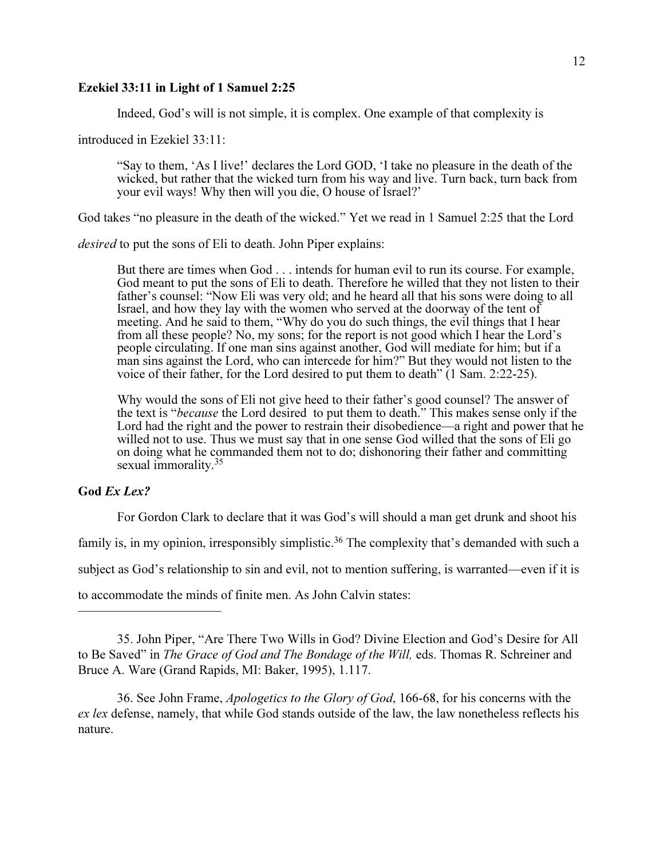### Ezekiel 33:11 in Light of 1 Samuel 2:25

Indeed, God's will is not simple, it is complex. One example of that complexity is

introduced in Ezekiel 33:11:

"Say to them, 'As I live!' declares the Lord GOD, 'I take no pleasure in the death of the wicked, but rather that the wicked turn from his way and live. Turn back, turn back from your evil ways! Why then will you die, O house of Israel?'

God takes "no pleasure in the death of the wicked." Yet we read in 1 Samuel 2:25 that the Lord

desired to put the sons of Eli to death. John Piper explains:

But there are times when God . . . intends for human evil to run its course. For example, God meant to put the sons of Eli to death. Therefore he willed that they not listen to their father's counsel: "Now Eli was very old; and he heard all that his sons were doing to all Israel, and how they lay with the women who served at the doorway of the tent of meeting. And he said to them, "Why do you do such things, the evil things that I hear from all these people? No, my sons; for the report is not good which I hear the Lord's people circulating. If one man sins against another, God will mediate for him; but if a man sins against the Lord, who can intercede for him?" But they would not listen to the voice of their father, for the Lord desired to put them to death" (1 Sam. 2:22-25).

Why would the sons of Eli not give heed to their father's good counsel? The answer of the text is "because the Lord desired to put them to death." This makes sense only if the Lord had the right and the power to restrain their disobedience—a right and power that he willed not to use. Thus we must say that in one sense God willed that the sons of Eli go on doing what he commanded them not to do; dishonoring their father and committing sexual immorality.<sup>35</sup>

# God Ex Lex?

———————————

For Gordon Clark to declare that it was God's will should a man get drunk and shoot his family is, in my opinion, irresponsibly simplistic.<sup>36</sup> The complexity that's demanded with such a subject as God's relationship to sin and evil, not to mention suffering, is warranted—even if it is to accommodate the minds of finite men. As John Calvin states:

36. See John Frame, Apologetics to the Glory of God, 166-68, for his concerns with the ex lex defense, namely, that while God stands outside of the law, the law nonetheless reflects his nature.

<sup>35.</sup> John Piper, "Are There Two Wills in God? Divine Election and God's Desire for All to Be Saved" in The Grace of God and The Bondage of the Will, eds. Thomas R. Schreiner and Bruce A. Ware (Grand Rapids, MI: Baker, 1995), 1.117.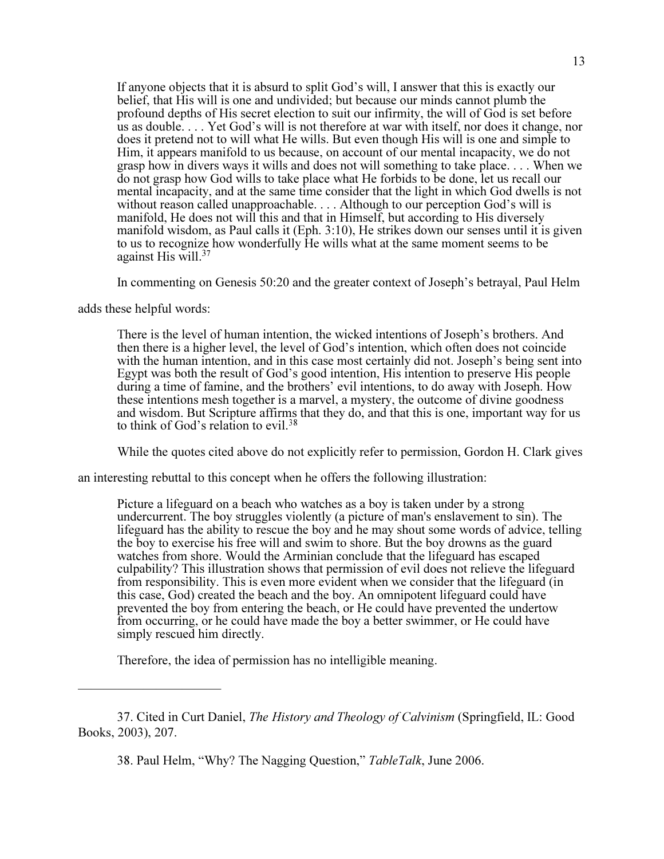If anyone objects that it is absurd to split God's will, I answer that this is exactly our belief, that His will is one and undivided; but because our minds cannot plumb the profound depths of His secret election to suit our infirmity, the will of God is set before us as double. . . . Yet God's will is not therefore at war with itself, nor does it change, nor does it pretend not to will what He wills. But even though His will is one and simple to Him, it appears manifold to us because, on account of our mental incapacity, we do not grasp how in divers ways it wills and does not will something to take place. . . . When we do not grasp how God wills to take place what He forbids to be done, let us recall our mental incapacity, and at the same time consider that the light in which God dwells is not without reason called unapproachable. . . . Although to our perception God's will is manifold, He does not will this and that in Himself, but according to His diversely manifold wisdom, as Paul calls it (Eph. 3:10), He strikes down our senses until it is given to us to recognize how wonderfully He wills what at the same moment seems to be against His will. $37$ 

In commenting on Genesis 50:20 and the greater context of Joseph's betrayal, Paul Helm

adds these helpful words:

———————————

There is the level of human intention, the wicked intentions of Joseph's brothers. And then there is a higher level, the level of God's intention, which often does not coincide with the human intention, and in this case most certainly did not. Joseph's being sent into Egypt was both the result of God's good intention, His intention to preserve His people during a time of famine, and the brothers' evil intentions, to do away with Joseph. How these intentions mesh together is a marvel, a mystery, the outcome of divine goodness and wisdom. But Scripture affirms that they do, and that this is one, important way for us to think of God's relation to evil.<sup>38</sup>

While the quotes cited above do not explicitly refer to permission, Gordon H. Clark gives

an interesting rebuttal to this concept when he offers the following illustration:

Picture a lifeguard on a beach who watches as a boy is taken under by a strong undercurrent. The boy struggles violently (a picture of man's enslavement to sin). The lifeguard has the ability to rescue the boy and he may shout some words of advice, telling the boy to exercise his free will and swim to shore. But the boy drowns as the guard watches from shore. Would the Arminian conclude that the lifeguard has escaped culpability? This illustration shows that permission of evil does not relieve the lifeguard from responsibility. This is even more evident when we consider that the lifeguard (in this case, God) created the beach and the boy. An omnipotent lifeguard could have prevented the boy from entering the beach, or He could have prevented the undertow from occurring, or he could have made the boy a better swimmer, or He could have simply rescued him directly.

Therefore, the idea of permission has no intelligible meaning.

<sup>37.</sup> Cited in Curt Daniel, The History and Theology of Calvinism (Springfield, IL: Good Books, 2003), 207.

<sup>38.</sup> Paul Helm, "Why? The Nagging Question," TableTalk, June 2006.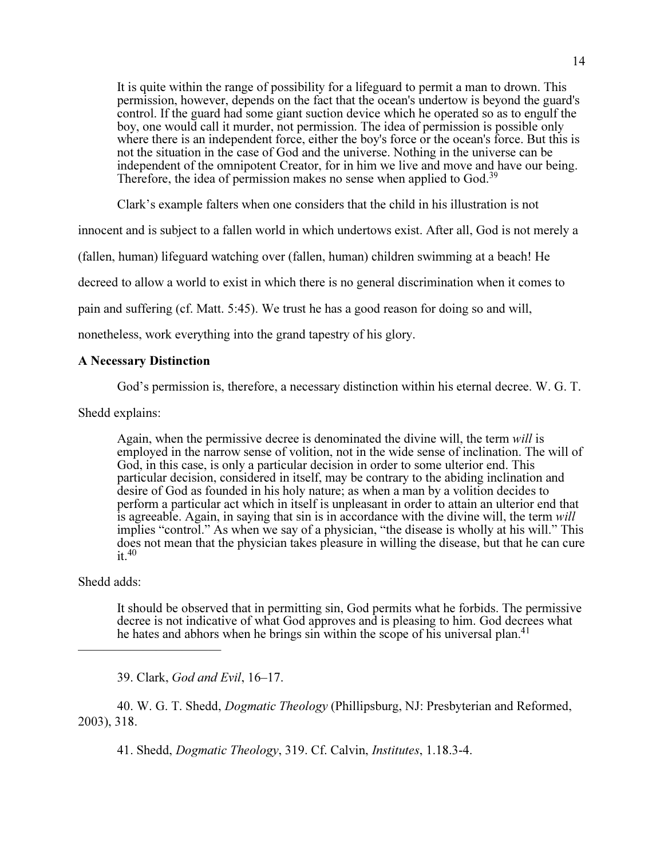It is quite within the range of possibility for a lifeguard to permit a man to drown. This permission, however, depends on the fact that the ocean's undertow is beyond the guard's control. If the guard had some giant suction device which he operated so as to engulf the boy, one would call it murder, not permission. The idea of permission is possible only where there is an independent force, either the boy's force or the ocean's force. But this is not the situation in the case of God and the universe. Nothing in the universe can be independent of the omnipotent Creator, for in him we live and move and have our being. Therefore, the idea of permission makes no sense when applied to God.<sup>39</sup>

Clark's example falters when one considers that the child in his illustration is not

innocent and is subject to a fallen world in which undertows exist. After all, God is not merely a

(fallen, human) lifeguard watching over (fallen, human) children swimming at a beach! He

decreed to allow a world to exist in which there is no general discrimination when it comes to

pain and suffering (cf. Matt. 5:45). We trust he has a good reason for doing so and will,

nonetheless, work everything into the grand tapestry of his glory.

#### A Necessary Distinction

God's permission is, therefore, a necessary distinction within his eternal decree. W. G. T.

Shedd explains:

Again, when the permissive decree is denominated the divine will, the term will is employed in the narrow sense of volition, not in the wide sense of inclination. The will of God, in this case, is only a particular decision in order to some ulterior end. This particular decision, considered in itself, may be contrary to the abiding inclination and desire of God as founded in his holy nature; as when a man by a volition decides to perform a particular act which in itself is unpleasant in order to attain an ulterior end that is agreeable. Again, in saying that sin is in accordance with the divine will, the term will implies "control." As when we say of a physician, "the disease is wholly at his will." This does not mean that the physician takes pleasure in willing the disease, but that he can cure  $it.<sup>40</sup>$ 

## Shedd adds:

———————————

It should be observed that in permitting sin, God permits what he forbids. The permissive decree is not indicative of what God approves and is pleasing to him. God decrees what he hates and abhors when he brings sin within the scope of his universal plan.<sup>41</sup>

39. Clark, God and Evil, 16–17.

40. W. G. T. Shedd, Dogmatic Theology (Phillipsburg, NJ: Presbyterian and Reformed, 2003), 318.

41. Shedd, Dogmatic Theology, 319. Cf. Calvin, Institutes, 1.18.3-4.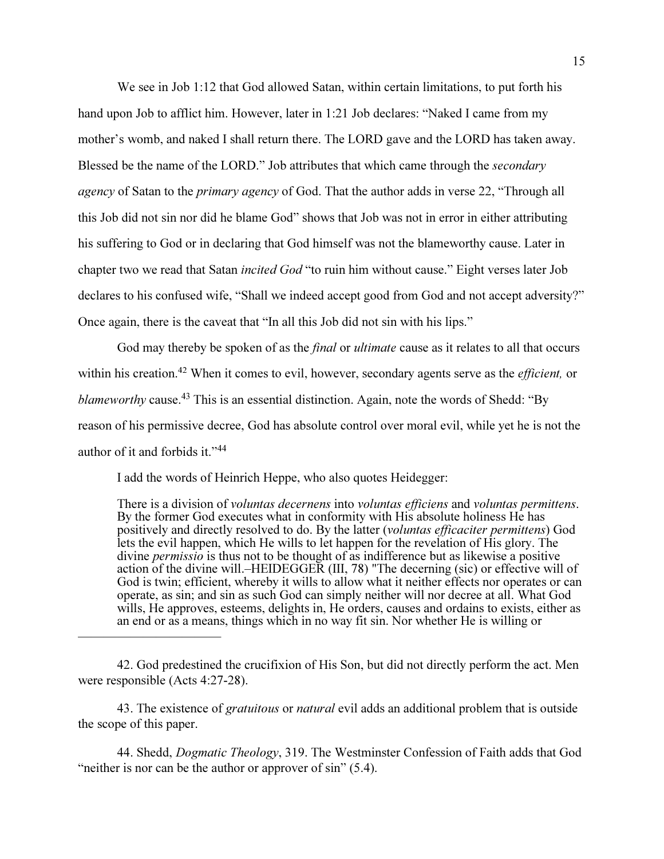We see in Job 1:12 that God allowed Satan, within certain limitations, to put forth his hand upon Job to afflict him. However, later in 1:21 Job declares: "Naked I came from my mother's womb, and naked I shall return there. The LORD gave and the LORD has taken away. Blessed be the name of the LORD." Job attributes that which came through the *secondary* agency of Satan to the *primary agency* of God. That the author adds in verse 22, "Through all this Job did not sin nor did he blame God" shows that Job was not in error in either attributing his suffering to God or in declaring that God himself was not the blameworthy cause. Later in chapter two we read that Satan *incited God* "to ruin him without cause." Eight verses later Job declares to his confused wife, "Shall we indeed accept good from God and not accept adversity?" Once again, there is the caveat that "In all this Job did not sin with his lips."

God may thereby be spoken of as the *final* or *ultimate* cause as it relates to all that occurs within his creation.<sup>42</sup> When it comes to evil, however, secondary agents serve as the *efficient*, or blameworthy cause.<sup>43</sup> This is an essential distinction. Again, note the words of Shedd: "By reason of his permissive decree, God has absolute control over moral evil, while yet he is not the author of it and forbids it."<sup>44</sup>

I add the words of Heinrich Heppe, who also quotes Heidegger:

———————————

There is a division of *voluntas decernens* into *voluntas efficiens* and *voluntas permittens*. By the former God executes what in conformity with His absolute holiness He has positively and directly resolved to do. By the latter (voluntas efficaciter permittens) God lets the evil happen, which He wills to let happen for the revelation of His glory. The divine *permissio* is thus not to be thought of as indifference but as likewise a positive action of the divine will.–HEIDEGGER (III, 78) "The decerning (sic) or effective will of God is twin; efficient, whereby it wills to allow what it neither effects nor operates or can operate, as sin; and sin as such God can simply neither will nor decree at all. What God wills, He approves, esteems, delights in, He orders, causes and ordains to exists, either as an end or as a means, things which in no way fit sin. Nor whether He is willing or

43. The existence of *gratuitous* or *natural* evil adds an additional problem that is outside the scope of this paper.

44. Shedd, Dogmatic Theology, 319. The Westminster Confession of Faith adds that God "neither is nor can be the author or approver of sin" (5.4).

<sup>42.</sup> God predestined the crucifixion of His Son, but did not directly perform the act. Men were responsible (Acts 4:27-28).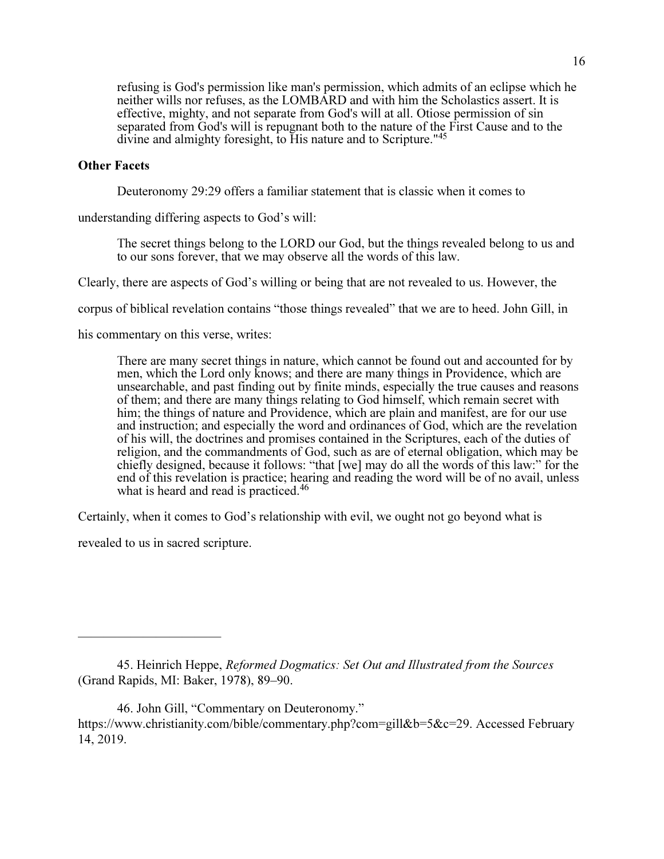refusing is God's permission like man's permission, which admits of an eclipse which he neither wills nor refuses, as the LOMBARD and with him the Scholastics assert. It is effective, mighty, and not separate from God's will at all. Otiose permission of sin separated from God's will is repugnant both to the nature of the First Cause and to the divine and almighty foresight, to His nature and to Scripture.<sup>"45</sup>

### Other Facets

Deuteronomy 29:29 offers a familiar statement that is classic when it comes to

understanding differing aspects to God's will:

The secret things belong to the LORD our God, but the things revealed belong to us and to our sons forever, that we may observe all the words of this law.

Clearly, there are aspects of God's willing or being that are not revealed to us. However, the

corpus of biblical revelation contains "those things revealed" that we are to heed. John Gill, in

his commentary on this verse, writes:

There are many secret things in nature, which cannot be found out and accounted for by men, which the Lord only knows; and there are many things in Providence, which are unsearchable, and past finding out by finite minds, especially the true causes and reasons of them; and there are many things relating to God himself, which remain secret with him; the things of nature and Providence, which are plain and manifest, are for our use and instruction; and especially the word and ordinances of God, which are the revelation of his will, the doctrines and promises contained in the Scriptures, each of the duties of religion, and the commandments of God, such as are of eternal obligation, which may be chiefly designed, because it follows: "that [we] may do all the words of this law:" for the end of this revelation is practice; hearing and reading the word will be of no avail, unless what is heard and read is practiced.<sup>46</sup>

Certainly, when it comes to God's relationship with evil, we ought not go beyond what is

revealed to us in sacred scripture.

———————————

<sup>45.</sup> Heinrich Heppe, Reformed Dogmatics: Set Out and Illustrated from the Sources (Grand Rapids, MI: Baker, 1978), 89–90.

<sup>46.</sup> John Gill, "Commentary on Deuteronomy." https://www.christianity.com/bible/commentary.php?com=gill&b=5&c=29. Accessed February 14, 2019.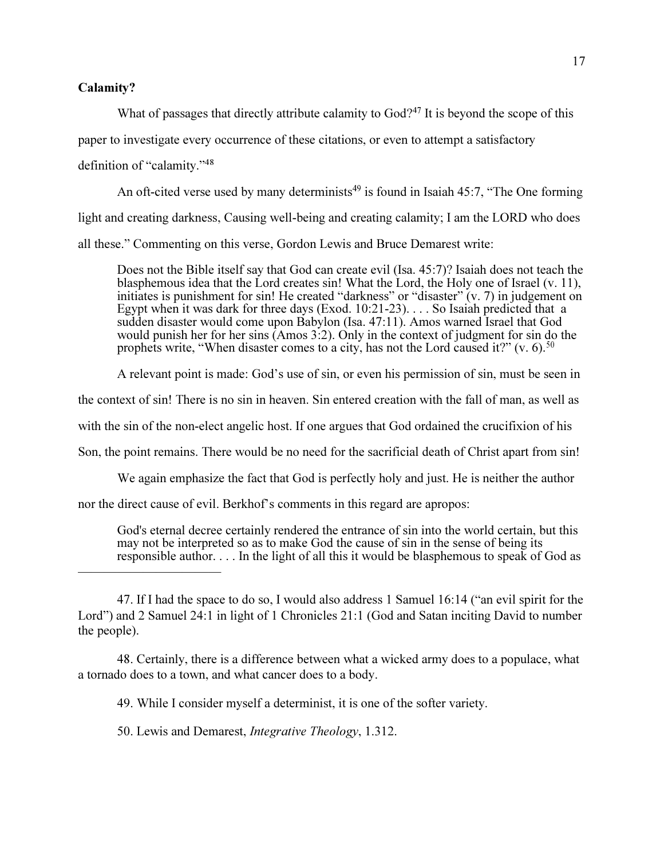### Calamity?

What of passages that directly attribute calamity to  $God?^{47}$  It is beyond the scope of this

paper to investigate every occurrence of these citations, or even to attempt a satisfactory

definition of "calamity."<sup>48</sup>

———————————

An oft-cited verse used by many determinists<sup>49</sup> is found in Isaiah 45:7, "The One forming light and creating darkness, Causing well-being and creating calamity; I am the LORD who does all these." Commenting on this verse, Gordon Lewis and Bruce Demarest write:

Does not the Bible itself say that God can create evil (Isa. 45:7)? Isaiah does not teach the blasphemous idea that the Lord creates sin! What the Lord, the Holy one of Israel (v. 11), initiates is punishment for sin! He created "darkness" or "disaster" (v. 7) in judgement on Egypt when it was dark for three days (Exod. 10:21-23). . . . So Isaiah predicted that a sudden disaster would come upon Babylon (Isa. 47:11). Amos warned Israel that God would punish her for her sins (Amos 3:2). Only in the context of judgment for sin do the prophets write, "When disaster comes to a city, has not the Lord caused it?" (v. 6).<sup>50</sup>

A relevant point is made: God's use of sin, or even his permission of sin, must be seen in

the context of sin! There is no sin in heaven. Sin entered creation with the fall of man, as well as

with the sin of the non-elect angelic host. If one argues that God ordained the crucifixion of his

Son, the point remains. There would be no need for the sacrificial death of Christ apart from sin!

We again emphasize the fact that God is perfectly holy and just. He is neither the author

nor the direct cause of evil. Berkhof's comments in this regard are apropos:

God's eternal decree certainly rendered the entrance of sin into the world certain, but this may not be interpreted so as to make God the cause of sin in the sense of being its responsible author. . . . In the light of all this it would be blasphemous to speak of God as

48. Certainly, there is a difference between what a wicked army does to a populace, what a tornado does to a town, and what cancer does to a body.

49. While I consider myself a determinist, it is one of the softer variety.

50. Lewis and Demarest, Integrative Theology, 1.312.

<sup>47.</sup> If I had the space to do so, I would also address 1 Samuel 16:14 ("an evil spirit for the Lord") and 2 Samuel 24:1 in light of 1 Chronicles 21:1 (God and Satan inciting David to number the people).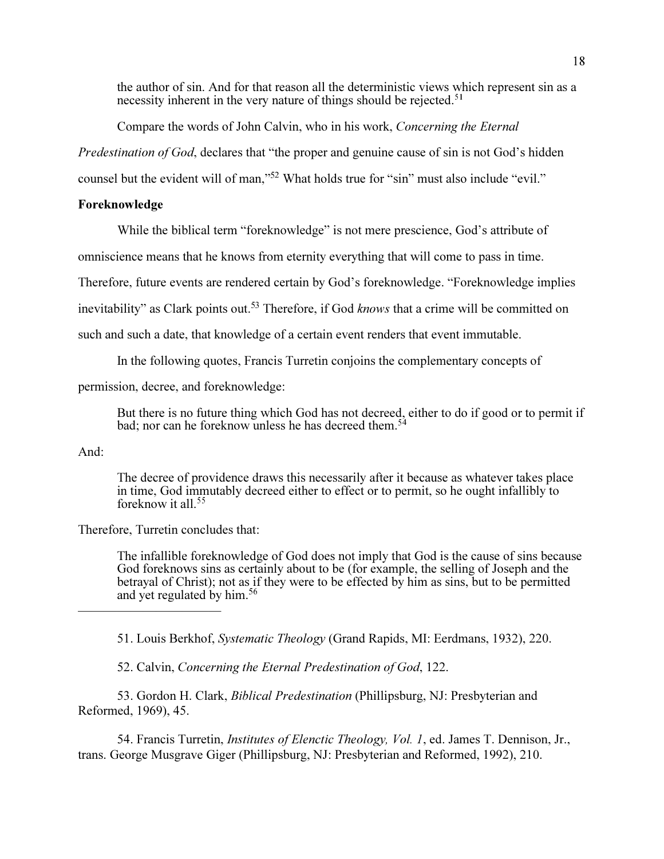the author of sin. And for that reason all the deterministic views which represent sin as a necessity inherent in the very nature of things should be rejected.<sup>51</sup>

Compare the words of John Calvin, who in his work, Concerning the Eternal

Predestination of God, declares that "the proper and genuine cause of sin is not God's hidden

counsel but the evident will of man,"<sup>52</sup> What holds true for "sin" must also include "evil."

# Foreknowledge

While the biblical term "foreknowledge" is not mere prescience, God's attribute of

omniscience means that he knows from eternity everything that will come to pass in time.

Therefore, future events are rendered certain by God's foreknowledge. "Foreknowledge implies

inevitability" as Clark points out.<sup>53</sup> Therefore, if God knows that a crime will be committed on

such and such a date, that knowledge of a certain event renders that event immutable.

In the following quotes, Francis Turretin conjoins the complementary concepts of

permission, decree, and foreknowledge:

But there is no future thing which God has not decreed, either to do if good or to permit if bad; nor can he foreknow unless he has decreed them.<sup>54</sup>

## And:

The decree of providence draws this necessarily after it because as whatever takes place in time, God immutably decreed either to effect or to permit, so he ought infallibly to foreknow it all.<sup>55</sup>

Therefore, Turretin concludes that:

———————————

The infallible foreknowledge of God does not imply that God is the cause of sins because God foreknows sins as certainly about to be (for example, the selling of Joseph and the betrayal of Christ); not as if they were to be effected by him as sins, but to be permitted and yet regulated by him.<sup>56</sup>

51. Louis Berkhof, Systematic Theology (Grand Rapids, MI: Eerdmans, 1932), 220.

52. Calvin, Concerning the Eternal Predestination of God, 122.

53. Gordon H. Clark, Biblical Predestination (Phillipsburg, NJ: Presbyterian and Reformed, 1969), 45.

54. Francis Turretin, *Institutes of Elenctic Theology, Vol. 1*, ed. James T. Dennison, Jr., trans. George Musgrave Giger (Phillipsburg, NJ: Presbyterian and Reformed, 1992), 210.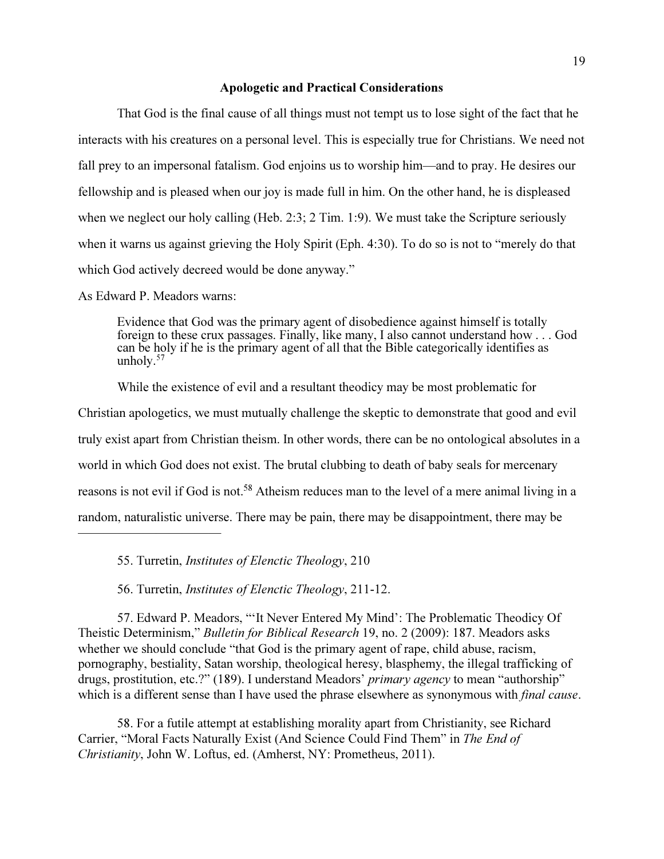#### Apologetic and Practical Considerations

That God is the final cause of all things must not tempt us to lose sight of the fact that he interacts with his creatures on a personal level. This is especially true for Christians. We need not fall prey to an impersonal fatalism. God enjoins us to worship him—and to pray. He desires our fellowship and is pleased when our joy is made full in him. On the other hand, he is displeased when we neglect our holy calling (Heb. 2:3; 2 Tim. 1:9). We must take the Scripture seriously when it warns us against grieving the Holy Spirit (Eph. 4:30). To do so is not to "merely do that which God actively decreed would be done anyway."

As Edward P. Meadors warns:

———————————

Evidence that God was the primary agent of disobedience against himself is totally foreign to these crux passages. Finally, like many, I also cannot understand how . . . God can be holy if he is the primary agent of all that the Bible categorically identifies as unholy. $57$ 

While the existence of evil and a resultant theodicy may be most problematic for Christian apologetics, we must mutually challenge the skeptic to demonstrate that good and evil truly exist apart from Christian theism. In other words, there can be no ontological absolutes in a world in which God does not exist. The brutal clubbing to death of baby seals for mercenary reasons is not evil if God is not.<sup>58</sup> Atheism reduces man to the level of a mere animal living in a random, naturalistic universe. There may be pain, there may be disappointment, there may be

55. Turretin, Institutes of Elenctic Theology, 210

56. Turretin, Institutes of Elenctic Theology, 211-12.

57. Edward P. Meadors, "'It Never Entered My Mind': The Problematic Theodicy Of Theistic Determinism," Bulletin for Biblical Research 19, no. 2 (2009): 187. Meadors asks whether we should conclude "that God is the primary agent of rape, child abuse, racism, pornography, bestiality, Satan worship, theological heresy, blasphemy, the illegal trafficking of drugs, prostitution, etc.?" (189). I understand Meadors' primary agency to mean "authorship" which is a different sense than I have used the phrase elsewhere as synonymous with *final cause*.

58. For a futile attempt at establishing morality apart from Christianity, see Richard Carrier, "Moral Facts Naturally Exist (And Science Could Find Them" in The End of Christianity, John W. Loftus, ed. (Amherst, NY: Prometheus, 2011).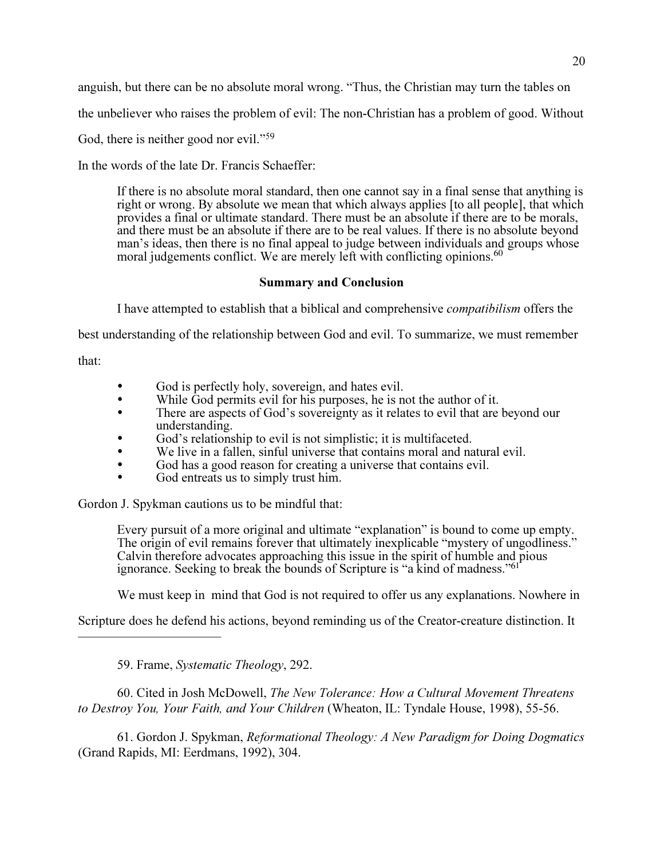anguish, but there can be no absolute moral wrong. "Thus, the Christian may turn the tables on

the unbeliever who raises the problem of evil: The non-Christian has a problem of good. Without

God, there is neither good nor evil."<sup>59</sup>

In the words of the late Dr. Francis Schaeffer:

If there is no absolute moral standard, then one cannot say in a final sense that anything is right or wrong. By absolute we mean that which always applies [to all people], that which provides a final or ultimate standard. There must be an absolute if there are to be morals, and there must be an absolute if there are to be real values. If there is no absolute beyond man's ideas, then there is no final appeal to judge between individuals and groups whose moral judgements conflict. We are merely left with conflicting opinions.  $60$ 

## Summary and Conclusion

I have attempted to establish that a biblical and comprehensive compatibilism offers the

best understanding of the relationship between God and evil. To summarize, we must remember

that:

- -God is perfectly holy, sovereign, and hates evil.
- $\bullet$ While God permits evil for his purposes, he is not the author of it.
- $\bullet$  There are aspects of God's sovereignty as it relates to evil that are beyond our understanding.
- $\bullet$ God's relationship to evil is not simplistic; it is multifaceted.
- -We live in a fallen, sinful universe that contains moral and natural evil.
- $\bullet$ God has a good reason for creating a universe that contains evil.
- -God entreats us to simply trust him.

Gordon J. Spykman cautions us to be mindful that:

Every pursuit of a more original and ultimate "explanation" is bound to come up empty. The origin of evil remains forever that ultimately inexplicable "mystery of ungodliness." Calvin therefore advocates approaching this issue in the spirit of humble and pious ignorance. Seeking to break the bounds of Scripture is "a kind of madness."<sup>61</sup>

We must keep in mind that God is not required to offer us any explanations. Nowhere in

Scripture does he defend his actions, beyond reminding us of the Creator-creature distinction. It

59. Frame, Systematic Theology, 292.

———————————

60. Cited in Josh McDowell, The New Tolerance: How a Cultural Movement Threatens to Destroy You, Your Faith, and Your Children (Wheaton, IL: Tyndale House, 1998), 55-56.

61. Gordon J. Spykman, Reformational Theology: A New Paradigm for Doing Dogmatics (Grand Rapids, MI: Eerdmans, 1992), 304.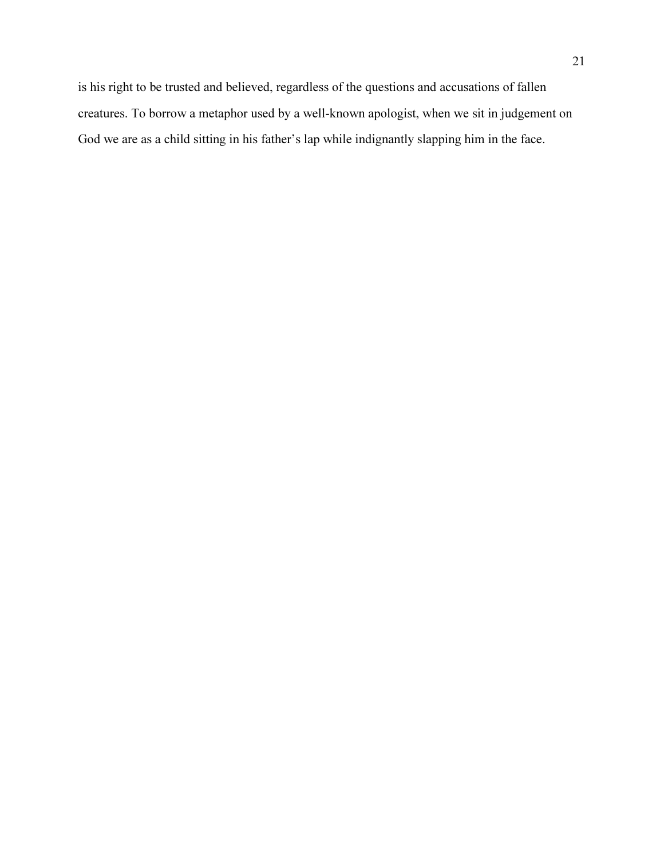is his right to be trusted and believed, regardless of the questions and accusations of fallen creatures. To borrow a metaphor used by a well-known apologist, when we sit in judgement on God we are as a child sitting in his father's lap while indignantly slapping him in the face.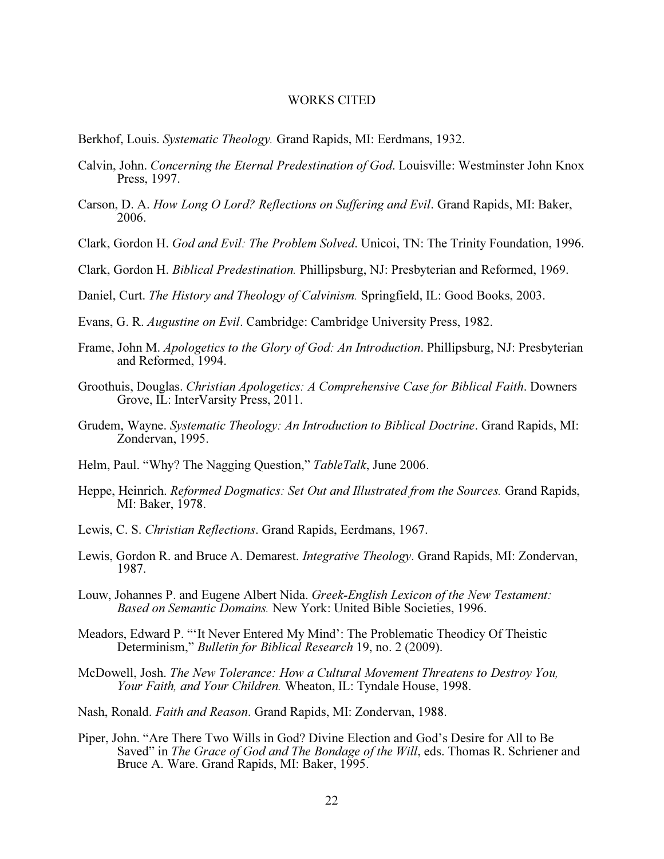### WORKS CITED

- Berkhof, Louis. Systematic Theology. Grand Rapids, MI: Eerdmans, 1932.
- Calvin, John. Concerning the Eternal Predestination of God. Louisville: Westminster John Knox Press, 1997.
- Carson, D. A. How Long O Lord? Reflections on Suffering and Evil. Grand Rapids, MI: Baker, 2006.
- Clark, Gordon H. God and Evil: The Problem Solved. Unicoi, TN: The Trinity Foundation, 1996.
- Clark, Gordon H. Biblical Predestination. Phillipsburg, NJ: Presbyterian and Reformed, 1969.
- Daniel, Curt. The History and Theology of Calvinism. Springfield, IL: Good Books, 2003.
- Evans, G. R. Augustine on Evil. Cambridge: Cambridge University Press, 1982.
- Frame, John M. Apologetics to the Glory of God: An Introduction. Phillipsburg, NJ: Presbyterian and Reformed, 1994.
- Groothuis, Douglas. Christian Apologetics: A Comprehensive Case for Biblical Faith. Downers Grove, IL: InterVarsity Press, 2011.
- Grudem, Wayne. Systematic Theology: An Introduction to Biblical Doctrine. Grand Rapids, MI: Zondervan, 1995.
- Helm, Paul. "Why? The Nagging Question," TableTalk, June 2006.
- Heppe, Heinrich. Reformed Dogmatics: Set Out and Illustrated from the Sources. Grand Rapids, MI: Baker, 1978.
- Lewis, C. S. Christian Reflections. Grand Rapids, Eerdmans, 1967.
- Lewis, Gordon R. and Bruce A. Demarest. Integrative Theology. Grand Rapids, MI: Zondervan, 1987.
- Louw, Johannes P. and Eugene Albert Nida. Greek-English Lexicon of the New Testament: Based on Semantic Domains. New York: United Bible Societies, 1996.
- Meadors, Edward P. "'It Never Entered My Mind': The Problematic Theodicy Of Theistic Determinism," Bulletin for Biblical Research 19, no. 2 (2009).
- McDowell, Josh. The New Tolerance: How a Cultural Movement Threatens to Destroy You, Your Faith, and Your Children. Wheaton, IL: Tyndale House, 1998.
- Nash, Ronald. Faith and Reason. Grand Rapids, MI: Zondervan, 1988.
- Piper, John. "Are There Two Wills in God? Divine Election and God's Desire for All to Be Saved" in The Grace of God and The Bondage of the Will, eds. Thomas R. Schriener and Bruce A. Ware. Grand Rapids, MI: Baker, 1995.